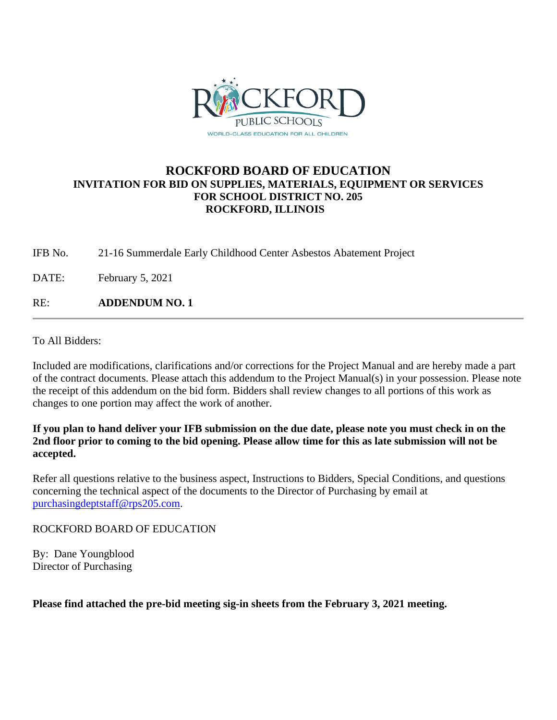

## **ROCKFORD BOARD OF EDUCATION INVITATION FOR BID ON SUPPLIES, MATERIALS, EQUIPMENT OR SERVICES FOR SCHOOL DISTRICT NO. 205 ROCKFORD, ILLINOIS**

IFB No. 21-16 Summerdale Early Childhood Center Asbestos Abatement Project

DATE: February 5, 2021

RE: **ADDENDUM NO. 1**

To All Bidders:

Included are modifications, clarifications and/or corrections for the Project Manual and are hereby made a part of the contract documents. Please attach this addendum to the Project Manual(s) in your possession. Please note the receipt of this addendum on the bid form. Bidders shall review changes to all portions of this work as changes to one portion may affect the work of another.

## **If you plan to hand deliver your IFB submission on the due date, please note you must check in on the 2nd floor prior to coming to the bid opening. Please allow time for this as late submission will not be accepted.**

Refer all questions relative to the business aspect, Instructions to Bidders, Special Conditions, and questions concerning the technical aspect of the documents to the Director of Purchasing by email at [purchasingdeptstaff@rps205.com.](mailto:purchasingdeptstaff@rps205.com)

ROCKFORD BOARD OF EDUCATION

By: Dane Youngblood Director of Purchasing

**Please find attached the pre-bid meeting sig-in sheets from the February 3, 2021 meeting.**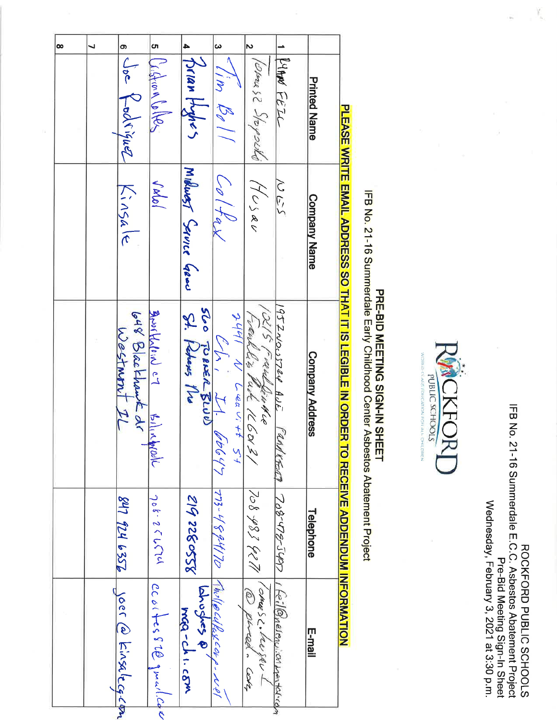| Wednesday, February 3, 2021 at 3:30 p.m.<br>Pre-Bid Meeting Sign-In Street            |
|---------------------------------------------------------------------------------------|
| IFB No. 21-16 Summerdale m.C.C. Aspeatos Apatement Project<br>ROCKFORD PUBLIC SCHOOLS |

 $\mathcal{V}_{\mathbf{k}_i}$ 

ÿ,



## PRE-BID MEETING SIGN-IN SHEET<br>IFB No. 21-16 Summerdale Early Childhood Center Asbestos Abatement Project

**DI TASH SKRITH TANI ADDRHAA AO HIAM IN A TAIRI TI N ORDHR HO RHAFA ADDRNDI IN NAFA TANI TASH AN TASH AN TAIRI** 

|                                                                                                                                                                                    | o.<br>თ<br>┙<br>Ligton Coller<br>Joe Kodriguez |                                 |                              | 4<br>Frian Hydres            | $\boldsymbol{\omega}$<br>I'm Bolı              | $\triangleright$<br>Wares 2 Stoysella        | KANN FEIL                 |                 |  |
|------------------------------------------------------------------------------------------------------------------------------------------------------------------------------------|------------------------------------------------|---------------------------------|------------------------------|------------------------------|------------------------------------------------|----------------------------------------------|---------------------------|-----------------|--|
|                                                                                                                                                                                    |                                                | Kinsale                         | Valol                        | Millwart Service Grand       | Coltax                                         | $\sqrt{70}$ $\geq$                           | どいつ                       |                 |  |
| <b>Company Name</b>                                                                                                                                                                |                                                | 648 Blackhant dr<br>Westmant IL | Bruskhlein c7<br>Allia Apple | St. Heberts No               | $2441$ N Leewitt 51<br>$\sqrt{2}$<br>II. booyy | IRIS Franklin KLO<br>Lieulles Purk 160131    |                           | Company Address |  |
| 1952NOUSTRY AUE FRANKER<br>GOO TOBER 5000                                                                                                                                          |                                                | 847 924 635B                    | 708-251717                   | 8550322 612                  |                                                |                                              |                           |                 |  |
| PLEASE WRITE EMAIL ADDRESS SO THAT IT IS LEGIBLE IN ORDER<br><b>TO BECEIVE ADDENDING WHORE VEGENERIES</b><br>$773 - 4894170$ Absilbutlexcap-Nel<br>708-478-547<br><b>Telephone</b> |                                                | yoer @ kinsalecq.com            | ccortes 82@gwarl.com         | $\frac{1}{2}$<br>MOG-CHI.CEM |                                                | 708 987 927 \ Romer S. Lewis<br>@ pered core | I feilbyelenuich wenteren | E-mail          |  |